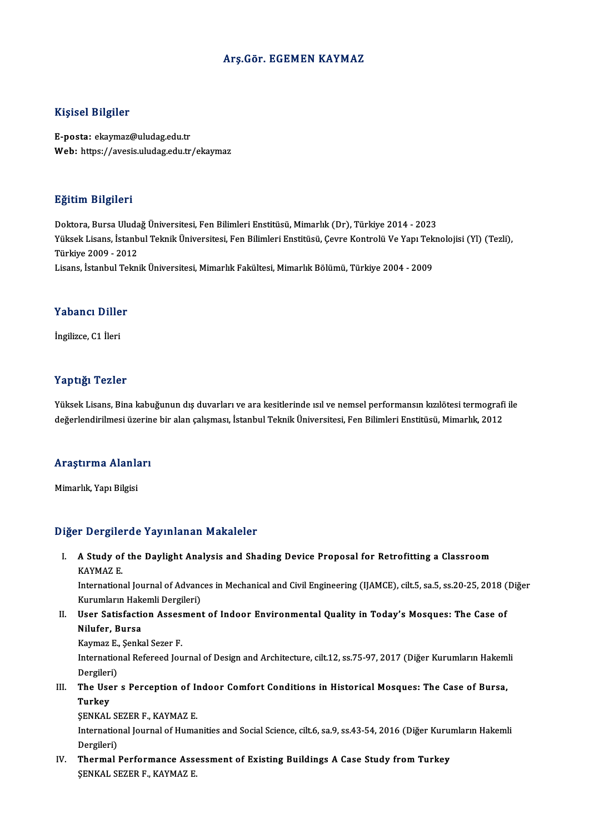### Arş.Gör. EGEMEN KAYMAZ

#### Kişisel Bilgiler

E-posta: ekaymaz@uludag.edu.tr Web: https://avesis.uludag.edu.tr/ekaymaz

#### Eğitim Bilgileri

<mark>Eğitim Bilgileri</mark><br>Doktora, Bursa Uludağ Üniversitesi, Fen Bilimleri Enstitüsü, Mimarlık (Dr), Türkiye 2014 - 2023<br>Yüksek Lisans, İstanbul Telmik Üniversitesi, Fen Bilimleri Enstitüsü, Ceyre Kentrelü Ve Yanı Telm Yüksek Lisans, İstanbul Teknik Üniversitesi, Fen Bilimleri Enstitüsü, Çevre Kontrolü Ve Yapı Teknolojisi (Yl) (Tezli),<br>Türkiye 2009 - 2012 Doktora, Bursa Uluda<br>Yüksek Lisans, İstanb<br>Türkiye 2009 - 2012<br>Lisans, İstanbul Telmi Lisans, İstanbulTeknikÜniversitesi,MimarlıkFakültesi,MimarlıkBölümü,Türkiye 2004 -2009

### Yabancı Diller

İngilizce,C1 İleri

### Yaptığı Tezler

Yaptığı Tezler<br>Yüksek Lisans, Bina kabuğunun dış duvarları ve ara kesitlerinde ısıl ve nemsel performansın kızılötesi termografi ile<br>değerlendirilmesi üzerine bir alan çalışması, İstanbul Telmik Üniversitesi, Een Bilimleri 1 ap sagt 1 52151<br>Yüksek Lisans, Bina kabuğunun dış duvarları ve ara kesitlerinde ısıl ve nemsel performansın kızılötesi termografi<br>değerlendirilmesi üzerine bir alan çalışması, İstanbul Teknik Üniversitesi, Fen Bilimleri

### uegerienairiimesi uzerin<br>Araştırma Alanları <mark>Araştırma Alanl</mark>a<br><sup>Mimarlık, Yapı Bilgisi</sup>

# Mimarlık, Yapı Bilgisi<br>Diğer Dergilerde Yayınlanan Makaleler

Iger Dergilerde Yayınlanan Makaleler<br>I. A Study of the Daylight Analysis and Shading Device Proposal for Retrofitting a Classroom<br>KAYMAZE A Study of<br>KAYMAZ E.<br>Internation A Study of the Daylight Analysis and Shading Device Proposal for Retrofitting a Classroom<br>KAYMAZ E.<br>International Journal of Advances in Mechanical and Civil Engineering (IJAMCE), cilt.5, sa.5, ss.20-25, 2018 (Diğer<br>Kuruml

KAYMAZ E.<br>International Journal of Advand<br>Kurumların Hakemli Dergileri)<br>Heer Satisfastion Assesmant Kurumların Hakemli Dergileri)

II. User Satisfaction Assesment of Indoor Environmental Quality in Today's Mosques: The Case of<br>Nilufer, Bursa User Satisfaction Asses<br>Nilufer, Bursa<br>Kaymaz E., Şenkal Sezer F.<br>International Befereed Jeu

International Refereed Journal of Design and Architecture, cilt.12, ss.75-97, 2017 (Diğer Kurumların Hakemli Dergileri) Kaymaz E.,<br>Internation<br>Dergileri)<br>The Heer International Refereed Journal of Design and Architecture, cilt.12, ss.75-97, 2017 (Diğer Kurumların Hakem<br>Dergileri)<br>III. The User s Perception of Indoor Comfort Conditions in Historical Mosques: The Case of Bursa,<br>Turkay

Dergiler<br><mark>The Use</mark><br>Turkey<br>SENKAI The User s Perception of I<mark><br>Turkey</mark><br>ŞENKAL SEZER F., KAYMAZ E.<br>International Journal of Huma

Turkey<br>ŞENKAL SEZER F., KAYMAZ E.<br>International Journal of Humanities and Social Science, cilt.6, sa.9, ss.43-54, 2016 (Diğer Kurumların Hakemli **ŞENKAL SI**<br>Internation<br>Dergileri)<br>Thermal International Journal of Humanities and Social Science, cilt.6, sa.9, ss.43-54, 2016 (Diğer Kurui<br>Dergileri)<br>IV. Thermal Performance Assessment of Existing Buildings A Case Study from Turkey<br>SENIZAL SEZED E LAVMAZ E

Dergileri)<br>IV. Thermal Performance Assessment of Existing Buildings A Case Study from Turkey<br>ŞENKAL SEZER F., KAYMAZ E.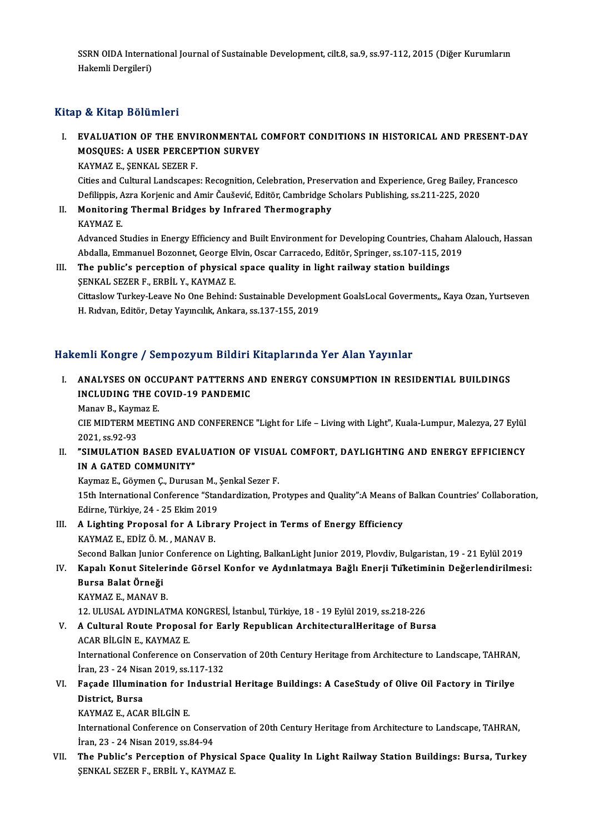SSRN OIDA International Journal of Sustainable Development, cilt.8, sa.9, ss.97-112, 2015 (Diğer Kurumların<br>Hekemli Dergileri) SSRN OIDA Interna<br>Hakemli Dergileri)

# Hakemli Dergileri)<br>Kitap & Kitap Bölümleri

### Itap & Kitap Bölümleri<br>I. EVALUATION OF THE ENVIRONMENTAL COMFORT CONDITIONS IN HISTORICAL AND PRESENT-DAY<br>MOSQUES, A USER RERCERTION SURVEY **EVALUATION OF THE ENVIRONMENTAL<br>EVALUATION OF THE ENVIRONMENTAL<br>MOSQUES: A USER PERCEPTION SURVEY** EVALUATION OF THE ENVI<br>MOSQUES: A USER PERCEP<br>KAYMAZ E., ŞENKAL SEZER F.<br>Gijes and Cultural Landssanes MOSQUES: A USER PERCEPTION SURVEY<br>KAYMAZ E., ŞENKAL SEZER F.<br>Cities and Cultural Landscapes: Recognition, Celebration, Preservation and Experience, Greg Bailey, Francesco

Defilippis, Azra Korjenic and Amir Čaušević, Editör, Cambridge Scholars Publishing, ss.211-225, 2020 Cities and Cultural Landscapes: Recognition, Celebration, Preser<br>Defilippis, Azra Korjenic and Amir Čaušević, Editör, Cambridge S<br>II. Monitoring Thermal Bridges by Infrared Thermography<br>KAYMAZ E

Defilippis, A<br>**Monitorin**<br>KAYMAZ E.<br>Advanced S Monitoring Thermal Bridges by Infrared Thermography<br>KAYMAZ E.<br>Advanced Studies in Energy Efficiency and Built Environment for Developing Countries, Chaham Alalouch, Hassan<br>Abdalla Emmanuel Berennet Coarge Elvin, Ossan Carr KAYMAZ E.<br>Advanced Studies in Energy Efficiency and Built Environment for Developing Countries, Chaham<br>Abdalla, Emmanuel Bozonnet, George Elvin, Oscar Carracedo, Editör, Springer, ss.107-115, 2019<br>The public's persention o Abdalla, Emmanuel Bozonnet, George Elvin, Oscar Carracedo, Editör, Springer, ss.107-115, 2019

III. The public's perception of physical space quality in light railway station buildings SENKAL SEZER F., ERBIL Y., KAYMAZ E. The public's perception of physical space quality in light railway station buildings<br>ŞENKAL SEZER F., ERBİL Y., KAYMAZ E.<br>Cittaslow Turkey-Leave No One Behind: Sustainable Development GoalsLocal Goverments,, Kaya Ozan, Yur ŞENKAL SEZER F., ERBİL Y., KAYMAZ E.<br>Cittaslow Turkey-Leave No One Behind: Sustainable Developı<br>H. Rıdvan, Editör, Detay Yayıncılık, Ankara, ss.137-155, 2019

# H. Rıdvan, Editör, Detay Yayıncılık, Ankara, ss.137-155, 2019<br>Hakemli Kongre / Sempozyum Bildiri Kitaplarında Yer Alan Yayınlar

akemli Kongre / Sempozyum Bildiri Kitaplarında Yer Alan Yayınlar<br>I. ANALYSES ON OCCUPANT PATTERNS AND ENERGY CONSUMPTION IN RESIDENTIAL BUILDINGS<br>INCLUDING THE COVID 19 PANDEMIC XIIII INCLESS ON OCCUPANT PATTERNS A<br>ANALYSES ON OCCUPANT PATTERNS A<br>INCLUDING THE COVID-19 PANDEMIC INCLUDING THE COVID-19 PANDEMIC<br>Manav B., Kaymaz E.

INCLUDING THE COVID-19 PANDEMIC<br>Manav B., Kaymaz E.<br>CIE MIDTERM MEETING AND CONFERENCE "Light for Life – Living with Light", Kuala-Lumpur, Malezya, 27 Eylül<br>2021-62.92.92 Manav B., Kaym<br>CIE MIDTERM N<br>2021, ss.92-93<br>"SIMIJL ATION CIE MIDTERM MEETING AND CONFERENCE "Light for Life – Living with Light", Kuala-Lumpur, Malezya, 27 Eylül<br>2021, ss.92-93<br>II. "SIMULATION BASED EVALUATION OF VISUAL COMFORT, DAYLIGHTING AND ENERGY EFFICIENCY

2021, ss.92-93<br>II. "SIMULATION BASED EVALUATION OF VISUAL COMFORT, DAYLIGHTING AND ENERGY EFFICIENCY<br>IN A GATED COMMUNITY" "SIMULATION BASED EVALUATION OF VISUA<br>IN A GATED COMMUNITY"<br>Kaymaz E., Göymen Ç., Durusan M., Şenkal Sezer F.<br>15th International Conference "Standardiration, Pr

15th International Conference "Standardization, Protypes and Quality":A Means of Balkan Countries' Collaboration,<br>Edirne, Türkiye, 24 - 25 Ekim 2019 Kaymaz E., Göymen Ç., Durusan M.,<br>15th International Conference "Star<br>Edirne, Türkiye, 24 - 25 Ekim 2019 15th International Conference "Standardization, Protypes and Quality":A Means of<br>Edirne, Türkiye, 24 - 25 Ekim 2019<br>III. A Lighting Proposal for A Library Project in Terms of Energy Efficiency<br>KAYMAZE EDIZ Ö.M. MANAV P

Edirne, Türkiye, 24 - 25 Ekim 2019<br>A Lighting Proposal for A Libr:<br>KAYMAZ E., EDİZ Ö.M. , MANAV B.<br>Sesend Balkan Junier Cenference e A Lighting Proposal for A Library Project in Terms of Energy Efficiency<br>KAYMAZ E., EDİZ Ö. M. , MANAV B.<br>Second Balkan Junior Conference on Lighting, BalkanLight Junior 2019, Plovdiv, Bulgaristan, 19 - 21 Eylül 2019<br>Kanalı

KAYMAZ E., EDİZ Ö. M. , MANAV B.<br>Second Balkan Junior Conference on Lighting, BalkanLight Junior 2019, Plovdiv, Bulgaristan, 19 - 21 Eylül 2019<br>IV. Kapalı Konut Sitelerinde Görsel Konfor ve Aydınlatmaya Bağlı Enerji Tü Second Balkan Junior<br><mark>Kapalı Konut Sitele</mark><br>Bursa Balat Örneği<br>KAYMAZ E. MANAV P Kapalı Konut Siteler<br>Bursa Balat Örneği<br>KAYMAZ E., MANAV B.<br>12 ULUSAL AYDINLAT Bursa Balat Örneği<br>KAYMAZ E., MANAV B.<br>12. ULUSAL AYDINLATMA KONGRESİ, İstanbul, Türkiye, 18 - 19 Eylül 2019, ss.218-226<br>A Cultural Boute Pranasal far Farly Bonublisan ArchitesturalHaritase of Bur

KAYMAZ E., MANAV B.<br>12. ULUSAL AYDINLATMA KONGRESİ, İstanbul, Türkiye, 18 - 19 Eylül 2019, ss.218-226<br>V. A Cultural Route Proposal for Early Republican ArchitecturalHeritage of Bursa<br>ACAR BİLGİN E., KAYMAZ E. 12. ULUSAL AYDINLATMA K<br>A Cultural Route Proposa<br>ACAR BİLGİN E., KAYMAZ E.<br>International Conference en

A Cultural Route Proposal for Early Republican ArchitecturalHeritage of Bursa<br>ACAR BİLGİN E., KAYMAZ E.<br>International Conference on Conservation of 20th Century Heritage from Architecture to Landscape, TAHRAN,<br>İran 22 - 24 ACAR BİLGİN E., KAYMAZ E.<br>International Conference on Conserv<br>İran, 23 - 24 Nisan 2019, ss.117-132<br>Fecede Illumination for Industria International Conference on Conservation of 20th Century Heritage from Architecture to Landscape, TAHRAN<br>İran, 23 - 24 Nisan 2019, ss.117-132<br>VI. Façade Illumination for Industrial Heritage Buildings: A CaseStudy of Olive

iran, 23 - 24 Nisan 2019, ss.117-132<br>Façade Illumination for Industri<br>District, Bursa<br>KAYMAZ E.. ACAR BİLGİN E. VI. Façade Illumination for Industrial Heritage Buildings: A CaseStudy of Olive Oil Factory in Tirilye

International Conference on Conservation of 20th Century Heritage from Architecture to Landscape, TAHRAN, İran,23 -24Nisan2019, ss.84-94 International Conference on Conservation of 20th Century Heritage from Architecture to Landscape, TAHRAN,<br>Iran, 23 - 24 Nisan 2019, ss.84-94<br>VII. The Public's Perception of Physical Space Quality In Light Railway Station B

İran, 23 - 24 Nisan 2019, ss.84-94<br>The Public's Perception of Physical<br>ŞENKAL SEZER F., ERBİL Y., KAYMAZ E.